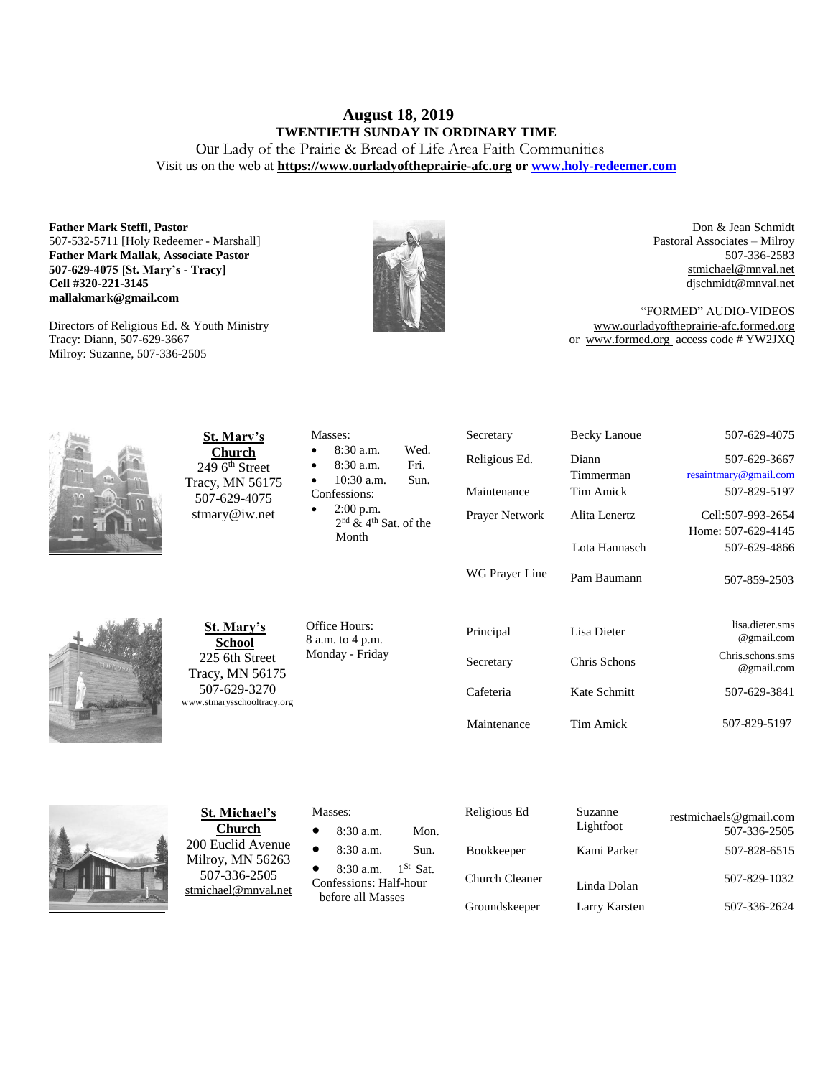# **August 18, 2019 TWENTIETH SUNDAY IN ORDINARY TIME**

Our Lady of the Prairie & Bread of Life Area Faith Communities Visit us on the web at **https:/[/www.ourladyoftheprairie-afc.org](http://www.ourladyoftheprairie-afc.org/) o[r www.holy-redeemer.com](http://www.holy-redeemer.com/)**

**Father Mark Steffl, Pastor** 507-532-5711 [Holy Redeemer - Marshall] **Father Mark Mallak, Associate Pastor 507-629-4075 [St. Mary's - Tracy] Cell #320-221-3145 mallakmark@gmail.com**

Directors of Religious Ed. & Youth Ministry Tracy: Diann, 507-629-3667 Milroy: Suzanne, 507-336-2505



Don & Jean Schmidt Pastoral Associates – Milroy 507-336-2583 [stmichael@mnval.net](mailto:stmichael@means.net) [djschmidt@mnval.net](mailto:djschmidt@mnval.net)

"FORMED" AUDIO-VIDEOS [www.ourladyoftheprairie-afc.formed.org](http://www.ourladyoftheprairie-afc.formed.org/) or www.formed.org access code # YW2JXQ



**St. Mary's Church** 249 6<sup>th</sup> Street Tracy, MN 56175 507-629-4075 [stmary@iw.net](mailto:stmary@iw.net)

| <b>St. Mary's</b> |  |
|-------------------|--|

**School** 225 6th Street Tracy, MN 56175 507-629-3270 w.stmarysschooltracy.org

Office Hours: 8 a.m. to 4 p.m. Monday - Friday

Masses:

Confessions: 2:00 p.m.

Month

 8:30 a.m. Wed. 8:30 a.m. Fri. 10:30 a.m. Sun.

2<sup>nd</sup> & 4<sup>th</sup> Sat. of the

| Religious Ed.         | Diann         | 507-629-3667                   |
|-----------------------|---------------|--------------------------------|
|                       | Timmerman     | resaintmary@gmail.com          |
| Maintenance           | Tim Amick     | 507-829-5197                   |
| <b>Prayer Network</b> | Alita Lenertz | Cell:507-993-2654              |
|                       |               | Home: 507-629-4145             |
|                       | Lota Hannasch | 507-629-4866                   |
| WG Prayer Line        | Pam Baumann   | 507-859-2503                   |
| Principal             | Lisa Dieter   | lisa.dieter.sms<br>@gmail.com  |
| Secretary             | Chris Schons  | Chris.schons.sms<br>@gmail.com |
| Cafeteria             | Kate Schmitt  | 507-629-3841                   |
|                       |               |                                |

Secretary Becky Lanoue 507-629-4075



**St. Michael's Church** 200 Euclid Avenue Milroy, MN 56263 507-336-2505 [stmichael@mnval.net](mailto:stmichael@mnval.net)

## Masses:

8:30 a.m. Mon.

8:30 a.m. Sun.

• 8:30 a.m.  $1^{St}$  Sat. Confessions: Half-hour before all Masses

 Religious Ed Suzanne Lightfoot restmichaels@gmail.com 507-336-2505 Bookkeeper Kami Parker 507-828-6515 Church Cleaner Linda Dolan 507-829-1032 Groundskeeper Larry Karsten 507-336-2624

Maintenance Tim Amick 507-829-5197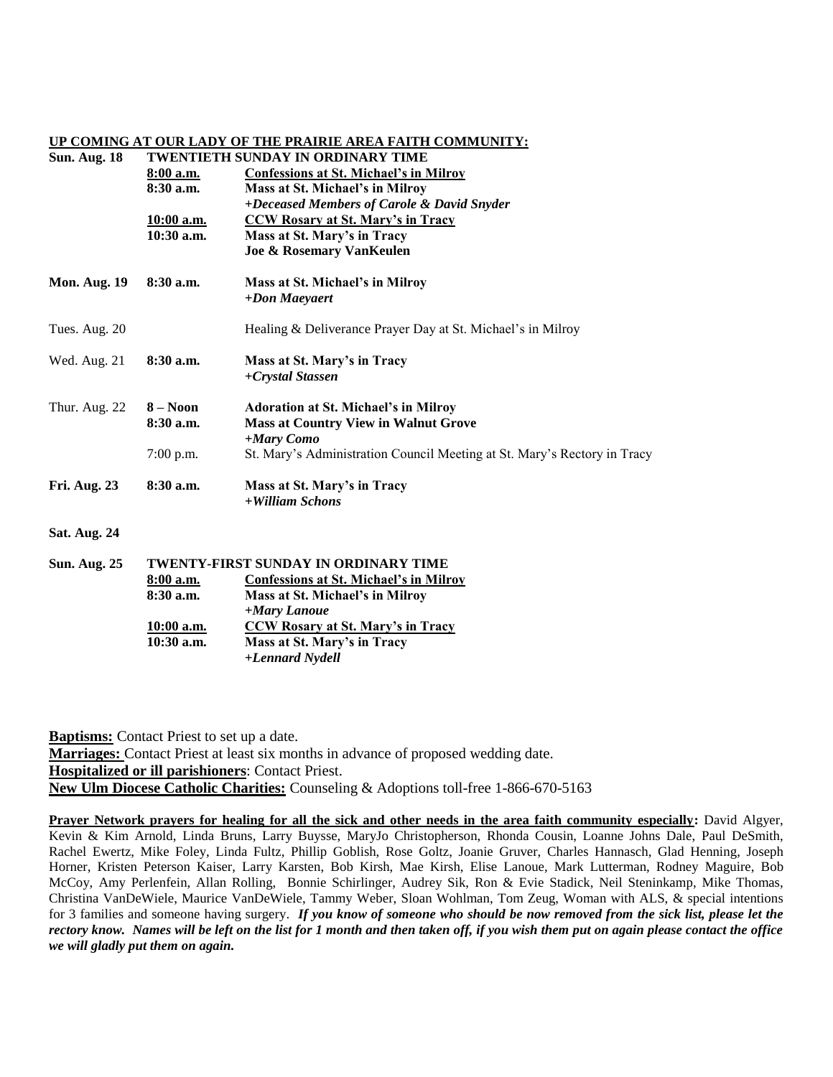## **UP COMING AT OUR LADY OF THE PRAIRIE AREA FAITH COMMUNITY:**

# **Sun. Aug. 18 TWENTIETH SUNDAY IN ORDINARY TIME 8:00 a.m. Confessions at St. Michael's in Milroy 8:30 a.m. Mass at St. Michael's in Milroy** *+Deceased Members of Carole & David Snyder* **10:00 a.m. CCW Rosary at St. Mary's in Tracy 10:30 a.m. Mass at St. Mary's in Tracy Joe & Rosemary VanKeulen Mon. Aug. 19 8:30 a.m. Mass at St. Michael's in Milroy** *+Don Maeyaert* Tues. Aug. 20 Healing & Deliverance Prayer Day at St. Michael's in Milroy Wed. Aug. 21 **8:30 a.m. Mass at St. Mary's in Tracy** *+Crystal Stassen* Thur. Aug. 22 **8 – Noon Adoration at St. Michael's in Milroy 8:30 a.m. Mass at Country View in Walnut Grove** *+Mary Como* 7:00 p.m. St. Mary's Administration Council Meeting at St. Mary's Rectory in Tracy **Fri. Aug. 23 8:30 a.m. Mass at St. Mary's in Tracy** *+William Schons* **Sat. Aug. 24 Sun. Aug. 25 TWENTY-FIRST SUNDAY IN ORDINARY TIME**

| , <i>.</i> |              |                                        |  |
|------------|--------------|----------------------------------------|--|
|            | $8:00$ a.m.  | Confessions at St. Michael's in Milroy |  |
|            | $8:30$ a.m.  | Mass at St. Michael's in Milroy        |  |
|            |              | +Mary Lanoue                           |  |
|            | $10:00$ a.m. | CCW Rosary at St. Mary's in Tracy      |  |
|            | $10:30$ a.m. | Mass at St. Mary's in Tracy            |  |
|            |              | +Lennard Nydell                        |  |

**Baptisms:** Contact Priest to set up a date. **Marriages:** Contact Priest at least six months in advance of proposed wedding date. **Hospitalized or ill parishioners**: Contact Priest. **New Ulm Diocese Catholic Charities:** Counseling & Adoptions toll-free 1-866-670-5163

**Prayer Network prayers for healing for all the sick and other needs in the area faith community especially:** David Algyer, Kevin & Kim Arnold, Linda Bruns, Larry Buysse, MaryJo Christopherson, Rhonda Cousin, Loanne Johns Dale, Paul DeSmith, Rachel Ewertz, Mike Foley, Linda Fultz, Phillip Goblish, Rose Goltz, Joanie Gruver, Charles Hannasch, Glad Henning, Joseph Horner, Kristen Peterson Kaiser, Larry Karsten, Bob Kirsh, Mae Kirsh, Elise Lanoue, Mark Lutterman, Rodney Maguire, Bob McCoy, Amy Perlenfein, Allan Rolling, Bonnie Schirlinger, Audrey Sik, Ron & Evie Stadick, Neil Steninkamp, Mike Thomas, Christina VanDeWiele, Maurice VanDeWiele, Tammy Weber, Sloan Wohlman, Tom Zeug, Woman with ALS, & special intentions for 3 families and someone having surgery. *If you know of someone who should be now removed from the sick list, please let the rectory know. Names will be left on the list for 1 month and then taken off, if you wish them put on again please contact the office we will gladly put them on again.*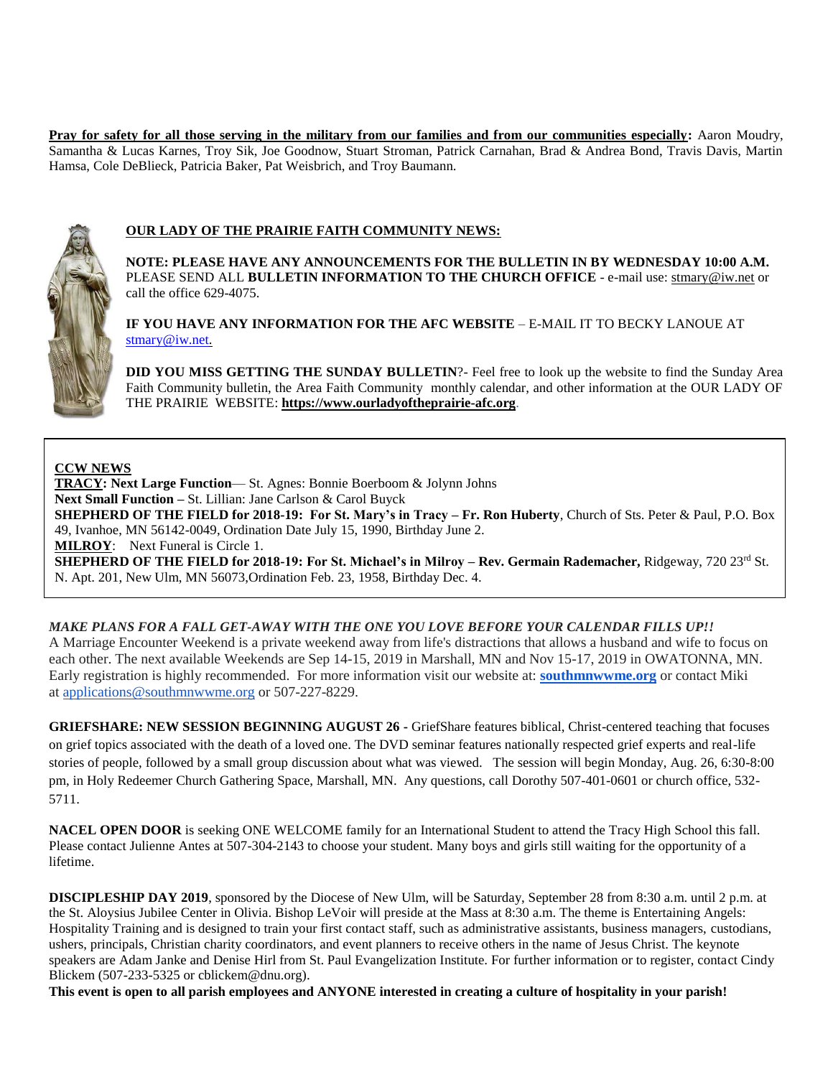**Pray for safety for all those serving in the military from our families and from our communities especially:** Aaron Moudry, Samantha & Lucas Karnes, Troy Sik, Joe Goodnow, Stuart Stroman, Patrick Carnahan, Brad & Andrea Bond, Travis Davis, Martin Hamsa, Cole DeBlieck, Patricia Baker, Pat Weisbrich, and Troy Baumann.



## **OUR LADY OF THE PRAIRIE FAITH COMMUNITY NEWS:**

**NOTE: PLEASE HAVE ANY ANNOUNCEMENTS FOR THE BULLETIN IN BY WEDNESDAY 10:00 A.M.** PLEASE SEND ALL **BULLETIN INFORMATION TO THE CHURCH OFFICE** - e-mail use[: stmary@iw.net](mailto:stmary@iw.net) or call the office 629-4075.

**IF YOU HAVE ANY INFORMATION FOR THE AFC WEBSITE** – E-MAIL IT TO BECKY LANOUE AT [stmary@iw.net.](mailto:stmary@iw.net)

**DID YOU MISS GETTING THE SUNDAY BULLETIN**?- Feel free to look up the website to find the Sunday Area Faith Community bulletin, the Area Faith Community monthly calendar, and other information at the OUR LADY OF THE PRAIRIE WEBSITE: **https:/[/www.ourladyoftheprairie-afc.org](http://www.ourladyoftheprairie-afc.org/)**.

## **CCW NEWS**

**TRACY: Next Large Function**— St. Agnes: Bonnie Boerboom & Jolynn Johns **Next Small Function –** St. Lillian: Jane Carlson & Carol Buyck **SHEPHERD OF THE FIELD for 2018-19: For St. Mary's in Tracy – Fr. Ron Huberty**, Church of Sts. Peter & Paul, P.O. Box 49, Ivanhoe, MN 56142-0049, Ordination Date July 15, 1990, Birthday June 2. **MILROY**: Next Funeral is Circle 1. **SHEPHERD OF THE FIELD for 2018-19: For St. Michael's in Milroy – Rev. Germain Rademacher, Ridgeway, 720 23<sup>rd</sup> St.** N. Apt. 201, New Ulm, MN 56073,Ordination Feb. 23, 1958, Birthday Dec. 4.

## **MAKE PLANS FOR A FALL GET-AWAY WITH THE ONE YOU LOVE BEFORE YOUR CALENDAR FILLS UP!!**

A Marriage Encounter Weekend is a private weekend away from life's distractions that allows a husband and wife to focus on each other. The next available Weekends are Sep 14-15, 2019 in Marshall, MN and Nov 15-17, 2019 in OWATONNA, MN. Early registration is highly recommended. For more information visit our website at: **[southmnwwme.org](http://southmnwwme.org/)** or contact Miki at [applications@southmnwwme.org](mailto:wmandbethnickles@hotmail.com) or 507-227-8229.

**GRIEFSHARE: NEW SESSION BEGINNING AUGUST 26 -** GriefShare features biblical, Christ-centered teaching that focuses on grief topics associated with the death of a loved one. The DVD seminar features nationally respected grief experts and real-life stories of people, followed by a small group discussion about what was viewed. The session will begin Monday, Aug. 26, 6:30-8:00 pm, in Holy Redeemer Church Gathering Space, Marshall, MN. Any questions, call Dorothy 507-401-0601 or church office, 532- 5711.

**NACEL OPEN DOOR** is seeking ONE WELCOME family for an International Student to attend the Tracy High School this fall. Please contact Julienne Antes at 507-304-2143 to choose your student. Many boys and girls still waiting for the opportunity of a lifetime.

**DISCIPLESHIP DAY 2019**, sponsored by the Diocese of New Ulm, will be Saturday, September 28 from 8:30 a.m. until 2 p.m. at the St. Aloysius Jubilee Center in Olivia. Bishop LeVoir will preside at the Mass at 8:30 a.m. The theme is Entertaining Angels: Hospitality Training and is designed to train your first contact staff, such as administrative assistants, business managers, custodians, ushers, principals, Christian charity coordinators, and event planners to receive others in the name of Jesus Christ. The keynote speakers are Adam Janke and Denise Hirl from St. Paul Evangelization Institute. For further information or to register, contact Cindy Blickem (507-233-5325 or cblickem@dnu.org).

**This event is open to all parish employees and ANYONE interested in creating a culture of hospitality in your parish!**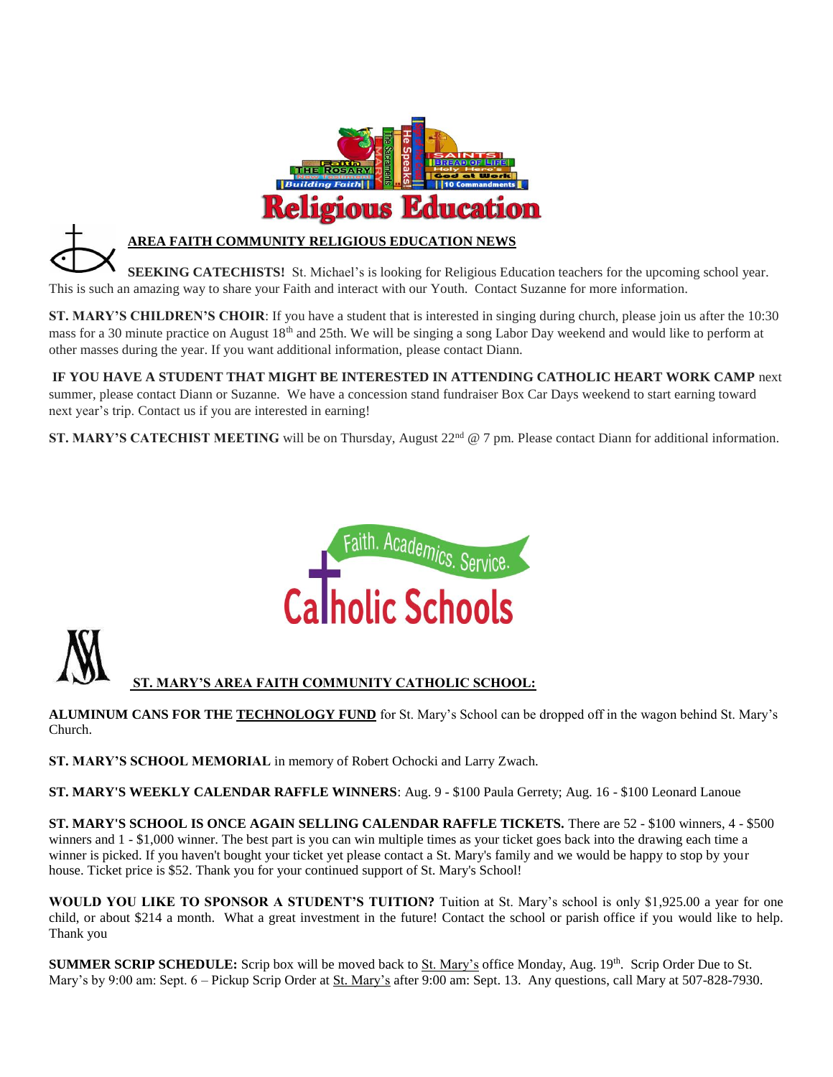

## **AREA FAITH COMMUNITY RELIGIOUS EDUCATION NEWS**

**SEEKING CATECHISTS!** St. Michael's is looking for Religious Education teachers for the upcoming school year. This is such an amazing way to share your Faith and interact with our Youth. Contact Suzanne for more information.

**ST. MARY'S CHILDREN'S CHOIR**: If you have a student that is interested in singing during church, please join us after the 10:30 mass for a 30 minute practice on August 18<sup>th</sup> and 25th. We will be singing a song Labor Day weekend and would like to perform at other masses during the year. If you want additional information, please contact Diann.

**IF YOU HAVE A STUDENT THAT MIGHT BE INTERESTED IN ATTENDING CATHOLIC HEART WORK CAMP** next summer, please contact Diann or Suzanne. We have a concession stand fundraiser Box Car Days weekend to start earning toward next year's trip. Contact us if you are interested in earning!

**ST. MARY'S CATECHIST MEETING** will be on Thursday, August 22<sup>nd</sup> @ 7 pm. Please contact Diann for additional information.





 **ST. MARY'S AREA FAITH COMMUNITY CATHOLIC SCHOOL:**

**ALUMINUM CANS FOR THE TECHNOLOGY FUND** for St. Mary's School can be dropped off in the wagon behind St. Mary's Church.

**ST. MARY'S SCHOOL MEMORIAL** in memory of Robert Ochocki and Larry Zwach.

**ST. MARY'S WEEKLY CALENDAR RAFFLE WINNERS**: Aug. 9 - \$100 Paula Gerrety; Aug. 16 - \$100 Leonard Lanoue

**ST. MARY'S SCHOOL IS ONCE AGAIN SELLING CALENDAR RAFFLE TICKETS.** There are 52 - \$100 winners, 4 - \$500 winners and 1 - \$1,000 winner. The best part is you can win multiple times as your ticket goes back into the drawing each time a winner is picked. If you haven't bought your ticket yet please contact a St. Mary's family and we would be happy to stop by your house. Ticket price is \$52. Thank you for your continued support of St. Mary's School!

**WOULD YOU LIKE TO SPONSOR A STUDENT'S TUITION?** Tuition at St. Mary's school is only \$1,925.00 a year for one child, or about \$214 a month. What a great investment in the future! Contact the school or parish office if you would like to help. Thank you

**SUMMER SCRIP SCHEDULE:** Scrip box will be moved back to St. Mary's office Monday, Aug. 19th. Scrip Order Due to St. Mary's by 9:00 am: Sept. 6 – Pickup Scrip Order at St. Mary's after 9:00 am: Sept. 13. Any questions, call Mary at 507-828-7930.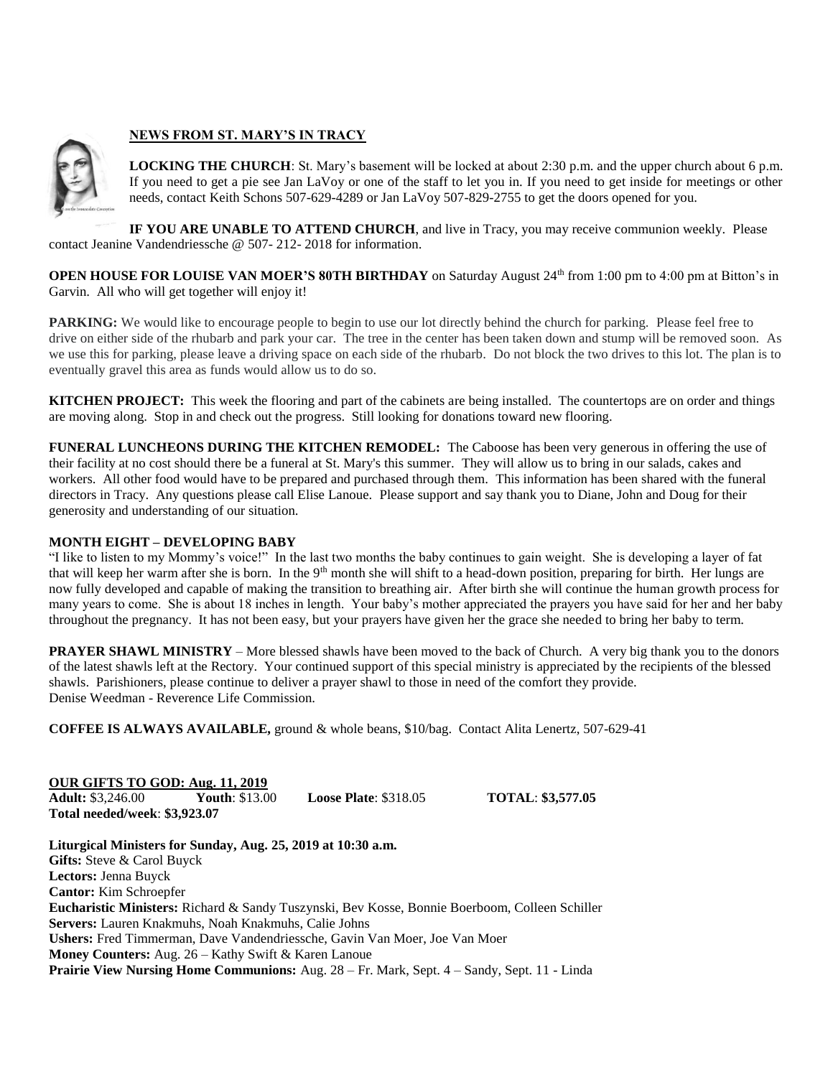## **NEWS FROM ST. MARY'S IN TRACY**

**LOCKING THE CHURCH**: St. Mary's basement will be locked at about 2:30 p.m. and the upper church about 6 p.m. If you need to get a pie see Jan LaVoy or one of the staff to let you in. If you need to get inside for meetings or other needs, contact Keith Schons 507-629-4289 or Jan LaVoy 507-829-2755 to get the doors opened for you.

**IF YOU ARE UNABLE TO ATTEND CHURCH**, and live in Tracy, you may receive communion weekly. Please contact Jeanine Vandendriessche @ 507- 212- 2018 for information.

**OPEN HOUSE FOR LOUISE VAN MOER'S 80TH BIRTHDAY** on Saturday August 24<sup>th</sup> from 1:00 pm to 4:00 pm at Bitton's in Garvin. All who will get together will enjoy it!

**PARKING:** We would like to encourage people to begin to use our lot directly behind the church for parking. Please feel free to drive on either side of the rhubarb and park your car. The tree in the center has been taken down and stump will be removed soon. As we use this for parking, please leave a driving space on each side of the rhubarb. Do not block the two drives to this lot. The plan is to eventually gravel this area as funds would allow us to do so.

**KITCHEN PROJECT:** This week the flooring and part of the cabinets are being installed. The countertops are on order and things are moving along. Stop in and check out the progress. Still looking for donations toward new flooring.

**FUNERAL LUNCHEONS DURING THE KITCHEN REMODEL:** The Caboose has been very generous in offering the use of their facility at no cost should there be a funeral at St. Mary's this summer. They will allow us to bring in our salads, cakes and workers. All other food would have to be prepared and purchased through them. This information has been shared with the funeral directors in Tracy. Any questions please call Elise Lanoue. Please support and say thank you to Diane, John and Doug for their generosity and understanding of our situation.

### **MONTH EIGHT – DEVELOPING BABY**

"I like to listen to my Mommy's voice!" In the last two months the baby continues to gain weight. She is developing a layer of fat that will keep her warm after she is born. In the 9<sup>th</sup> month she will shift to a head-down position, preparing for birth. Her lungs are now fully developed and capable of making the transition to breathing air. After birth she will continue the human growth process for many years to come. She is about 18 inches in length. Your baby's mother appreciated the prayers you have said for her and her baby throughout the pregnancy. It has not been easy, but your prayers have given her the grace she needed to bring her baby to term.

**PRAYER SHAWL MINISTRY** – More blessed shawls have been moved to the back of Church. A very big thank you to the donors of the latest shawls left at the Rectory. Your continued support of this special ministry is appreciated by the recipients of the blessed shawls. Parishioners, please continue to deliver a prayer shawl to those in need of the comfort they provide. Denise Weedman - Reverence Life Commission.

**COFFEE IS ALWAYS AVAILABLE,** ground & whole beans, \$10/bag. Contact Alita Lenertz, 507-629-41

**OUR GIFTS TO GOD: Aug. 11, 2019 Adult:** \$3,246.00 **Youth**: \$13.00 **Loose Plate**: \$318.05 **TOTAL**: **\$3,577.05 Total needed/week**: **\$3,923.07**

**Liturgical Ministers for Sunday, Aug. 25, 2019 at 10:30 a.m. Gifts:** Steve & Carol Buyck **Lectors:** Jenna Buyck **Cantor:** Kim Schroepfer **Eucharistic Ministers:** Richard & Sandy Tuszynski, Bev Kosse, Bonnie Boerboom, Colleen Schiller **Servers:** Lauren Knakmuhs, Noah Knakmuhs, Calie Johns **Ushers:** Fred Timmerman, Dave Vandendriessche, Gavin Van Moer, Joe Van Moer **Money Counters:** Aug. 26 – Kathy Swift & Karen Lanoue **Prairie View Nursing Home Communions:** Aug. 28 – Fr. Mark, Sept. 4 – Sandy, Sept. 11 - Linda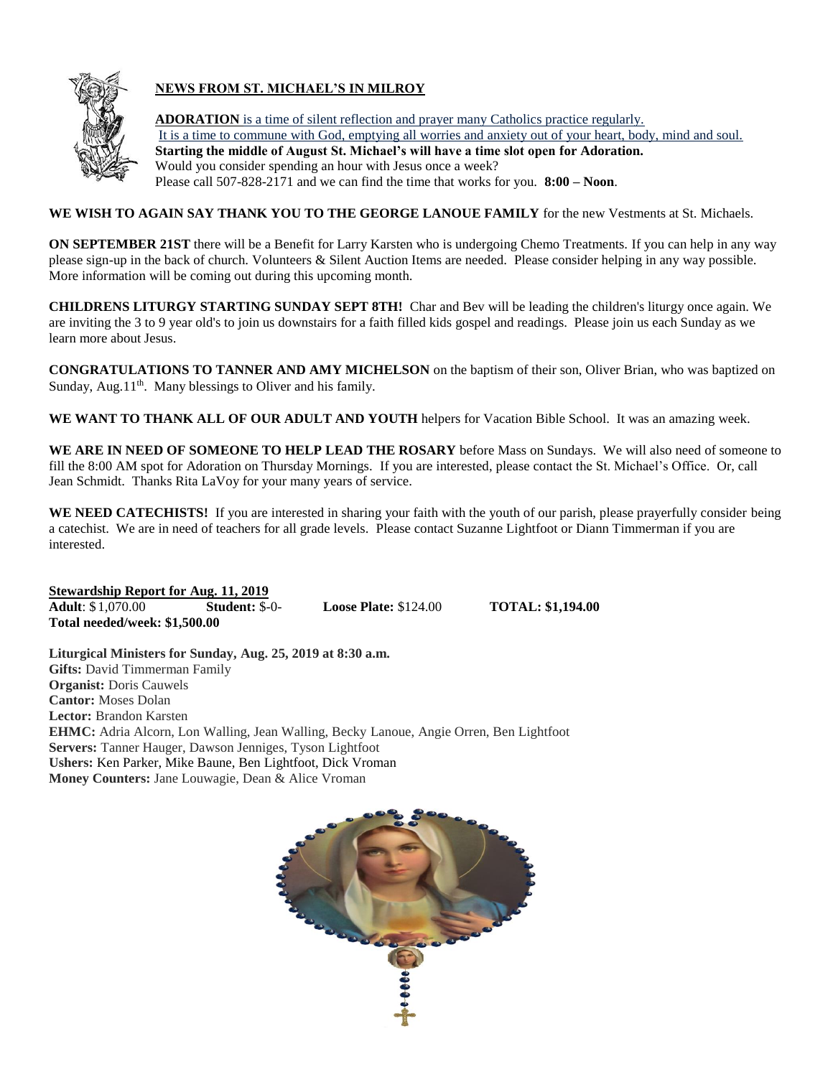

## **NEWS FROM ST. MICHAEL'S IN MILROY**

**ADORATION** is a time of silent reflection and prayer many Catholics practice regularly. It is a time to commune with God, emptying all worries and anxiety out of your heart, body, mind and soul. **Starting the middle of August St. Michael's will have a time slot open for Adoration.** Would you consider spending an hour with Jesus once a week? Please call 507-828-2171 and we can find the time that works for you. **8:00 – Noon**.

**WE WISH TO AGAIN SAY THANK YOU TO THE GEORGE LANOUE FAMILY** for the new Vestments at St. Michaels.

**ON SEPTEMBER 21ST** there will be a Benefit for Larry Karsten who is undergoing Chemo Treatments. If you can help in any way please sign-up in the back of church. Volunteers & Silent Auction Items are needed. Please consider helping in any way possible. More information will be coming out during this upcoming month.

**CHILDRENS LITURGY STARTING SUNDAY SEPT 8TH!** Char and Bev will be leading the children's liturgy once again. We are inviting the 3 to 9 year old's to join us downstairs for a faith filled kids gospel and readings. Please join us each Sunday as we learn more about Jesus.

**CONGRATULATIONS TO TANNER AND AMY MICHELSON** on the baptism of their son, Oliver Brian, who was baptized on Sunday, Aug.11<sup>th</sup>. Many blessings to Oliver and his family.

**WE WANT TO THANK ALL OF OUR ADULT AND YOUTH** helpers for Vacation Bible School. It was an amazing week.

**WE ARE IN NEED OF SOMEONE TO HELP LEAD THE ROSARY** before Mass on Sundays. We will also need of someone to fill the 8:00 AM spot for Adoration on Thursday Mornings. If you are interested, please contact the St. Michael's Office. Or, call Jean Schmidt. Thanks Rita LaVoy for your many years of service.

**WE NEED CATECHISTS!** If you are interested in sharing your faith with the youth of our parish, please prayerfully consider being a catechist. We are in need of teachers for all grade levels. Please contact Suzanne Lightfoot or Diann Timmerman if you are interested.

**Stewardship Report for Aug. 11, 2019 Adult**: \$ 1,070.00 **Student:** \$-0- **Loose Plate:** \$124.00 **TOTAL: \$1,194.00 Total needed/week: \$1,500.00**

**Liturgical Ministers for Sunday, Aug. 25, 2019 at 8:30 a.m. Gifts:** David Timmerman Family **Organist: Doris Cauwels Cantor:** Moses Dolan **Lector:** Brandon Karsten **EHMC:** Adria Alcorn, Lon Walling, Jean Walling, Becky Lanoue, Angie Orren, Ben Lightfoot **Servers:** Tanner Hauger, Dawson Jenniges, Tyson Lightfoot **Ushers:** Ken Parker, Mike Baune, Ben Lightfoot, Dick Vroman **Money Counters:** Jane Louwagie, Dean & Alice Vroman